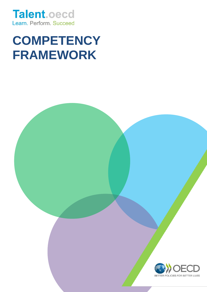**Talent.oecd** Learn. Perform. Succeed

# **COMPETENCY FRAMEWORK**

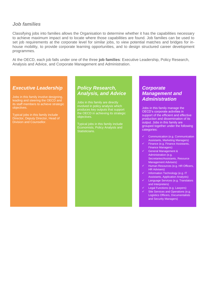# *Job families*

Classifying jobs into families allows the Organisation to determine whether it has the capabilities necessary to achieve maximum impact and to locate where those capabilities are found. Job families can be used to set job requirements at the corporate level for similar jobs, to view potential matches and bridges for inhouse mobility, to provide corporate learning opportunities, and to design structured career development programmes.

At the OECD, each job falls under one of the three **job families**: Executive Leadership, Policy Research, Analysis and Advice, and Corporate Management and Administration.

# *Executive Leadership*

Jobs in this family involve designing, leading and steering the OECD and its staff members to achieve strategic objectives.

Typical jobs in this family include Director, Deputy Director, Head of Division and Counsellor.

# *Policy Research, Analysis, and Advice*

Jobs in this family are directly involved in policy analysis which produces key outputs that support the OECD in achieving its strategic objectives.

Typical jobs in this family include Economists, Policy Analysts and Statisticians.

# *Corporate Management and Administration*

Jobs in this family manage the OECD's corporate activities in support of the efficient and effective production and dissemination of its output. Jobs in this family are grouped together under the following categories:

- Communication (e.g. Communication Assistants, Marketing Managers)
- Finance (e.g. Finance Assistants, Finance Managers)
- General Management & Administration (e.g. Secretaries/Assistants, Resource Management Advisers)
- Human Resources (e.g. HR Officers, HR Advisers)
- Information Technology (e.g. IT Assistants, Application Analysts)
- Language Services (e.g. Translators and Interpreters)
- Legal Functions (e.g. Lawyers)
- Site Services and Operations (e.g. Logistics Officers, Documentalists and Security Managers)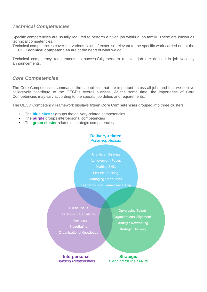# *Technical Competencies*

Specific competencies are usually required to perform a given job within a job family. These are known as technical competencies.

Technical competencies cover the various fields of expertise relevant to the specific work carried out at the OECD. **Technical competencies** are at the heart of what we do.

Technical competency requirements to successfully perform a given job are defined in job vacancy announcements.

# *Core Competencies*

The Core Competencies summarise the capabilities that are important across all jobs and that we believe collectively contribute to the OECD's overall success. At the same time, the importance of Core Competencies may vary according to the specific job duties and requirements.

The OECD Competency Framework displays fifteen **Core Competencies** grouped into three clusters.

- The **blue cluster** groups the delivery-related competencies
- The **purple** groups interpersonal competencies
- The **green cluster** relates to strategic competencies

#### **Delivery-related**  *Achieving Results*

**Achievement Focus Drafting Skills Flexible Thinking Managing Resources Teamwork and Team Leadership** 

**Client Focus Diplomatic Sensitivity** Influencing Negotiating Organisational Knowledge

Developing Talent Organisational Alignment **Strategic Networking Strategic Thinking** 

**Interpersonal** *Building Relationships*

**Strategic** *Planning for the Future*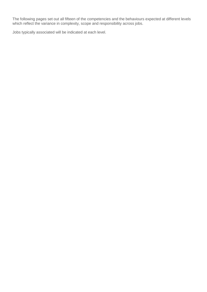The following pages set out all fifteen of the competencies and the behaviours expected at different levels which reflect the variance in complexity, scope and responsibility across jobs.

Jobs typically associated will be indicated at each level.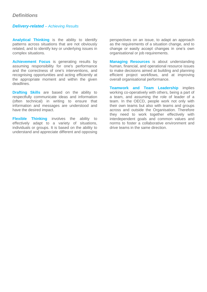# *Definitions*

# *Delivery-related – Achieving Results*

**Analytical Thinking** is the ability to identify patterns across situations that are not obviously related, and to identify key or underlying issues in complex situations.

**Achievement Focus** is generating results by assuming responsibility for one's performance and the correctness of one's interventions, and recognising opportunities and acting efficiently at the appropriate moment and within the given deadlines.

**Drafting Skills** are based on the ability to respectfully communicate ideas and information (often technical) in writing to ensure that information and messages are understood and have the desired impact.

**Flexible Thinking** involves the ability to effectively adapt to a variety of situations, individuals or groups. It is based on the ability to understand and appreciate different and opposing perspectives on an issue, to adapt an approach as the requirements of a situation change, and to change or easily accept changes in one's own organisational or job requirements.

**Managing Resources** is about understanding human, financial, and operational resource issues to make decisions aimed at building and planning efficient project workflows, and at improving overall organisational performance.

**Teamwork and Team Leadership** implies working co-operatively with others, being a part of a team, and assuming the role of leader of a team. In the OECD, people work not only with their own teams but also with teams and groups across and outside the Organisation. Therefore they need to work together effectively with interdependent goals and common values and norms to foster a collaborative environment and drive teams in the same direction.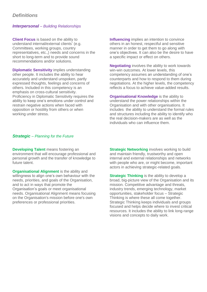#### *Interpersonal – Building Relationships*

**Client Focus** is based on the ability to understand internal/external clients' (e.g. Committees, working groups, country representatives, etc.,) needs and concerns in the short to long-term and to provide sound recommendations and/or solutions.

**Diplomatic Sensitivity** implies understanding other people. It includes the ability to hear accurately and understand unspoken, partly expressed thoughts, feelings and concerns of others. Included in this competency is an emphasis on cross-cultural sensitivity. Proficiency in Diplomatic Sensitivity requires the ability to keep one's emotions under control and restrain negative actions when faced with opposition or hostility from others or when working under stress.

**Influencing** implies an intention to convince others in an honest, respectful and sensitive manner in order to get them to go along with one's objectives. It can also be the desire to have a specific impact or effect on others.

**Negotiating** involves the ability to work towards win-win outcomes. At lower levels, this competency assumes an understanding of one's counterparts and how to respond to them during negotiations. At the higher levels, the competency reflects a focus to achieve value-added results.

**Organisational Knowledge** is the ability to understand the power relationships within the Organisation and with other organisations. It includes the ability to understand the formal rules and structures including the ability to identify who the real decision-makers are as well as the individuals who can influence them.

#### *Strategic – Planning for the Future*

**Developing Talent** means fostering an environment that will encourage professional and personal growth and the transfer of knowledge to future talent.

**Organisational Alignment** is the ability and willingness to align one's own behaviour with the needs, priorities, and goals of the Organisation, and to act in ways that promote the Organisation's goals or meet organisational needs. Organisational Alignment means focusing on the Organisation's mission before one's own preferences or professional priorities.

**Strategic Networking** involves working to build and maintain friendly, trustworthy and open internal and external relationships and networks with people who are, or might become, important actors in achieving strategic-related goals.

**Strategic Thinking** is the ability to develop a broad, big-picture view of the Organisation and its mission. Competitive advantage and threats, industry trends, emerging technology, market opportunities, stakeholder focus – Strategic Thinking is where these all come together. Strategic Thinking keeps individuals and groups focused and helps decide where to invest critical resources. It includes the ability to link long-range visions and concepts to daily work.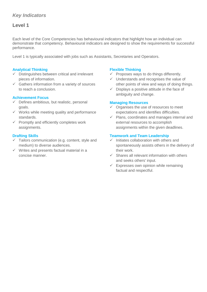# **Level 1**

Each level of the Core Competencies has behavioural indicators that highlight how an individual can demonstrate that competency. Behavioural indicators are designed to show the requirements for successful performance.

Level 1 is typically associated with jobs such as Assistants, Secretaries and Operators.

#### **Analytical Thinking**

- $\checkmark$  Distinguishes between critical and irrelevant pieces of information.
- $\checkmark$  Gathers information from a variety of sources to reach a conclusion.

#### **Achievement Focus**

- $\checkmark$  Defines ambitious, but realistic, personal goals.
- $\checkmark$  Works while meeting quality and performance standards.
- $\checkmark$  Promptly and efficiently completes work assignments.

#### **Drafting Skills**

- $\checkmark$  Tailors communication (e.g. content, style and medium) to diverse audiences.
- $\checkmark$  Writes and presents factual material in a concise manner.

#### **Flexible Thinking**

- $\checkmark$  Proposes ways to do things differently.
- $\checkmark$  Understands and recognises the value of other points of view and ways of doing things.
- $\checkmark$  Displays a positive attitude in the face of ambiguity and change.

#### **Managing Resources**

- $\checkmark$  Organises the use of resources to meet expectations and identifies difficulties.
- $\checkmark$  Plans, coordinates and manages internal and external resources to accomplish assignments within the given deadlines.

- Initiates collaboration with others and spontaneously assists others in the delivery of their work.
- $\checkmark$  Shares all relevant information with others and seeks others' input.
- $\checkmark$  Expresses own opinion while remaining factual and respectful.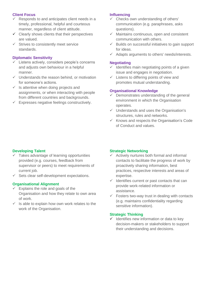- Responds to and anticipates client needs in a timely, professional, helpful and courteous manner, regardless of client attitude.
- $\checkmark$  Clearly shows clients that their perspectives are valued.
- $\checkmark$  Strives to consistently meet service standards.

#### **Diplomatic Sensitivity**

- $\checkmark$  Listens actively, considers people's concerns and adjusts own behaviour in a helpful manner.
- $\checkmark$  Understands the reason behind, or motivation for someone's actions.
- $\checkmark$  Is attentive when doing projects and assignments, or when interacting with people from different countries and backgrounds.
- $\checkmark$  Expresses negative feelings constructively.

#### **Influencing**

- $\checkmark$  Checks own understanding of others' communication (e.g. paraphrases, asks questions).
- $\checkmark$  Maintains continuous, open and consistent communication with others.
- $\checkmark$  Builds on successful initiatives to gain support for ideas.
- $\checkmark$  Adapts arguments to others' needs/interests.

#### **Negotiating**

- $\checkmark$  Identifies main negotiating points of a given issue and engages in negotiation.
- $\checkmark$  Listens to differing points of view and promotes mutual understanding.

#### **Organisational Knowledge**

- $\checkmark$  Demonstrates understanding of the general environment in which the Organisation operates.
- $\checkmark$  Understands and uses the Organisation's structures, rules and networks.
- $\checkmark$  Knows and respects the Organisation's Code of Conduct and values.

#### **Developing Talent**

- $\checkmark$  Takes advantage of learning opportunities provided (e.g. courses, feedback from supervisor or peers) to meet requirements of current job.
- $\checkmark$  Sets clear self-development expectations.

#### **Organisational Alignment**

- $\checkmark$  Explains the role and goals of the Organisation and how they relate to own area of work.
- Is able to explain how own work relates to the work of the Organisation.

#### **Strategic Networking**

- $\checkmark$  Actively nurtures both formal and informal contacts to facilitate the progress of work by proactively sharing information, best practices, respective interests and areas of expertise.
- $\checkmark$  Identifies current or past contacts that can provide work-related information or assistance.
- $\checkmark$  Fosters two-way trust in dealing with contacts (e.g. maintains confidentiality regarding sensitive information).

#### **Strategic Thinking**

 $\checkmark$  Identifies new information or data to key decision-makers or stakeholders to support their understanding and decisions.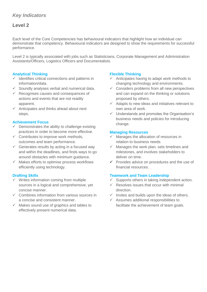# **Level 2**

Each level of the Core Competencies has behavioural indicators that highlight how an individual can demonstrate that competency. Behavioural indicators are designed to show the requirements for successful performance.

Level 2 is typically associated with jobs such as Statisticians, Corporate Management and Administration Assistants/Officers, Logistics Officers and Documentalists.

## **Analytical Thinking**

- $\checkmark$  Identifies critical connections and patterns in information/data.
- $\checkmark$  Soundly analyses verbal and numerical data.
- $\checkmark$  Recognises causes and consequences of actions and events that are not readily apparent.
- $\checkmark$  Anticipates and thinks ahead about next steps.

#### **Achievement Focus**

- $\checkmark$  Demonstrates the ability to challenge existing practices in order to become more effective.
- $\checkmark$  Contributes to improve work methods, outcomes and team performance.
- $\checkmark$  Generates results by acting in a focused way and within the deadlines, and finds ways to go around obstacles with minimum guidance.
- $\checkmark$  Makes efforts to optimise process workflows efficiently using technology.

#### **Drafting Skills**

- $\checkmark$  Writes information coming from multiple sources in a logical and comprehensive, yet concise manner.
- $\checkmark$  Combines information from various sources in a concise and consistent manner.
- $\checkmark$  Makes sound use of graphics and tables to effectively present numerical data.

## **Flexible Thinking**

- $\checkmark$  Anticipates having to adapt work methods to changing technology and environments.
- $\checkmark$  Considers problems from all new perspectives and can expand on the thinking or solutions proposed by others.
- $\checkmark$  Adapts to new ideas and initiatives relevant to own area of work.
- $\checkmark$  Understands and promotes the Organisation's business needs and policies for introducing change.

#### **Managing Resources**

- $\checkmark$  Manages the allocation of resources in relation to business needs.
- $\checkmark$  Manages the work plan, sets timelines and milestones, and involves stakeholders to deliver on time.
- $\checkmark$  Provides advice on procedures and the use of financial resources.

- Supports others in taking independent action.
- $\checkmark$  Resolves issues that occur with minimal direction.
- $\checkmark$  Invites and builds upon the ideas of others.
- $\checkmark$  Assumes additional responsibilities to facilitate the achievement of team goals.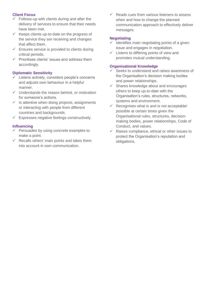- $\checkmark$  Follows-up with clients during and after the delivery of services to ensure that their needs have been met.
- $\checkmark$  Keeps clients up-to-date on the progress of the service they are receiving and changes that affect them.
- $\checkmark$  Ensures service is provided to clients during critical periods.
- $\checkmark$  Prioritises clients' issues and address them accordingly.

## **Diplomatic Sensitivity**

- Listens actively, considers people's concerns and adjusts own behaviour in a helpful manner.
- $\checkmark$  Understands the reason behind, or motivation for someone's actions.
- $\checkmark$  Is attentive when doing projects, assignments or interacting with people from different countries and backgrounds.
- Expresses negative feelings constructively.

## **Influencing**

- $\checkmark$  Persuades by using concrete examples to make a point.
- $\checkmark$  Recalls others' main points and takes them into account in own communication.

 $\checkmark$  Reads cues from various listeners to assess when and how to change the planned communication approach to effectively deliver messages.

# **Negotiating**

- Identifies main negotiating points of a given issue and engages in negotiation.
- $\checkmark$  Listens to differing points of view and promotes mutual understanding.

#### **Organisational Knowledge**

- $\checkmark$  Seeks to understand and raises awareness of the Organisation's decision making bodies and power relationships.
- $\checkmark$  Shares knowledge about and encourages others to keep up-to-date with the Organisation's rules, structures, networks, systems and environment.
- $\checkmark$  Recognises what is and is not acceptable/ possible at certain times given the Organisational rules, structures, decisionmaking bodies, power relationships, Code of Conduct, and values.
- $\checkmark$  Raises compliance, ethical or other issues to protect the Organisation's reputation and obligations.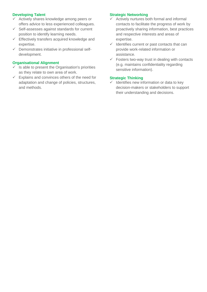## **Developing Talent**

- $\checkmark$  Actively shares knowledge among peers or offers advice to less experienced colleagues.
- $\checkmark$  Self-assesses against standards for current position to identify learning needs.
- $\checkmark$  Effectively transfers acquired knowledge and expertise.
- $\checkmark$  Demonstrates initiative in professional selfdevelopment.

#### **Organisational Alignment**

- $\checkmark$  Is able to present the Organisation's priorities as they relate to own area of work.
- $\checkmark$  Explains and convinces others of the need for adaptation and change of policies, structures, and methods.

#### **Strategic Networking**

- $\checkmark$  Actively nurtures both formal and informal contacts to facilitate the progress of work by proactively sharing information, best practices and respective interests and areas of expertise.
- $\checkmark$  Identifies current or past contacts that can provide work-related information or assistance.
- $\checkmark$  Fosters two-way trust in dealing with contacts (e.g. maintains confidentiality regarding sensitive information).

#### **Strategic Thinking**

 $\checkmark$  Identifies new information or data to key decision-makers or stakeholders to support their understanding and decisions.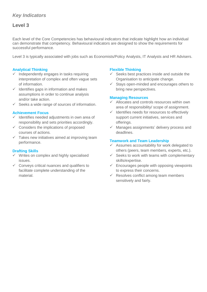# **Level 3**

Each level of the Core Competencies has behavioural indicators that indicate highlight how an individual can demonstrate that competency. Behavioural indicators are designed to show the requirements for successful performance.

Level 3 is typically associated with jobs such as Economists/Policy Analysts, IT Analysts and HR Advisers.

#### **Analytical Thinking**

- Independently engages in tasks requiring interpretation of complex and often vague sets of information.
- $\checkmark$  Identifies gaps in information and makes assumptions in order to continue analysis and/or take action.
- Seeks a wide range of sources of information.

#### **Achievement Focus**

- $\checkmark$  Identifies needed adjustments in own area of responsibility and sets priorities accordingly.
- $\checkmark$  Considers the implications of proposed courses of actions.
- $\checkmark$  Takes new initiatives aimed at improving team performance.

#### **Drafting Skills**

- $\checkmark$  Writes on complex and highly specialised issues.
- $\checkmark$  Conveys critical nuances and qualifiers to facilitate complete understanding of the material.

#### **Flexible Thinking**

- $\checkmark$  Seeks best practices inside and outside the Organisation to anticipate change.
- $\checkmark$  Stays open-minded and encourages others to bring new perspectives.

#### **Managing Resources**

- $\checkmark$  Allocates and controls resources within own area of responsibility/ scope of assignment.
- $\checkmark$  Identifies needs for resources to effectively support current initiatives, services and offerings.
- $\checkmark$  Manages assignments' delivery process and deadlines.

- $\checkmark$  Assumes accountability for work delegated to others (peers, team members, experts, etc.).
- $\checkmark$  Seeks to work with teams with complementary skills/expertise.
- $\checkmark$  Encourages people with opposing viewpoints to express their concerns.
- $\checkmark$  Resolves conflict among team members sensitively and fairly.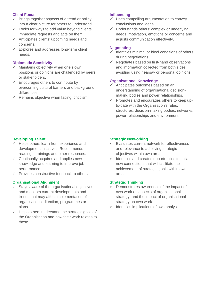- $\checkmark$  Brings together aspects of a trend or policy into a clear picture for others to understand.
- $\checkmark$  Looks for ways to add value beyond clients' immediate requests and acts on them.
- $\checkmark$  Anticipates clients' upcoming needs and concerns.
- $\checkmark$  Explores and addresses long-term client needs.

#### **Diplomatic Sensitivity**

- Maintains objectivity when one's own positions or opinions are challenged by peers or stakeholders.
- $\checkmark$  Encourages others to contribute by overcoming cultural barriers and background differences.
- $\checkmark$  Remains objective when facing criticism.

#### **Influencing**

- $\checkmark$  Uses compelling argumentation to convey conclusions and ideas.
- $\checkmark$  Understands others' complex or underlying needs, motivation, emotions or concerns and adjusts communication effectively.

#### **Negotiating**

- $\checkmark$  Identifies minimal or ideal conditions of others during negotiations.
- $\checkmark$  Negotiates based on first-hand observations and information collected from both sides avoiding using hearsay or personal opinions.

#### **Organisational Knowledge**

- $\checkmark$  Anticipates outcomes based on an understanding of organisational decisionmaking bodies and power relationships.
- $\checkmark$  Promotes and encourages others to keep upto-date with the Organisation's rules, structures, decision-making bodies, networks, power relationships and environment.

#### **Developing Talent**

- Helps others learn from experience and development initiatives. Recommends readings, trainings and other resources.
- $\checkmark$  Continually acquires and applies new knowledge and learning to improve job performance.
- $\checkmark$  Provides constructive feedback to others.

#### **Organisational Alignment**

- $\checkmark$  Stays aware of the organisational objectives and monitors current developments and trends that may affect implementation of organisational direction, programmes or plans.
- $\checkmark$  Helps others understand the strategic goals of the Organisation and how their work relates to these.

#### **Strategic Networking**

- $\checkmark$  Evaluates current network for effectiveness and relevance to achieving strategic objectives within own area.
- $\checkmark$  Identifies and creates opportunities to initiate new connections that will facilitate the achievement of strategic goals within own area.

#### **Strategic Thinking**

- $\checkmark$  Demonstrates awareness of the impact of own work on aspects of organisational strategy, and the impact of organisational strategy on own work.
- $\checkmark$  Identifies implications of own analysis.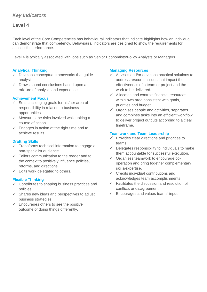# **Level 4**

Each level of the Core Competencies has behavioural indicators that indicate highlights how an individual can demonstrate that competency. Behavioural indicators are designed to show the requirements for successful performance.

Level 4 is typically associated with jobs such as Senior Economists/Policy Analysts or Managers.

## **Analytical Thinking**

- $\checkmark$  Develops conceptual frameworks that guide analysis.
- $\checkmark$  Draws sound conclusions based upon a mixture of analysis and experience.

#### **Achievement Focus**

- $\checkmark$  Sets challenging goals for his/her area of responsibility in relation to business opportunities.
- $\checkmark$  Measures the risks involved while taking a course of action.
- $\checkmark$  Engages in action at the right time and to achieve results.

#### **Drafting Skills**

- $\checkmark$  Transforms technical information to engage a non-specialist audience.
- $\checkmark$  Tailors communication to the reader and to the context to positively influence policies, reforms, and directions.
- $\checkmark$  Edits work delegated to others.

#### **Flexible Thinking**

- $\checkmark$  Contributes to shaping business practices and policies.
- $\checkmark$  Shares new ideas and perspectives to adjust business strategies.
- $\checkmark$  Encourages others to see the positive outcome of doing things differently.

#### **Managing Resources**

- $\checkmark$  Advises and/or develops practical solutions to address resource issues that impact the effectiveness of a team or project and the work to be delivered.
- $\checkmark$  Allocates and controls financial resources within own area consistent with goals, priorities and budget.
- $\checkmark$  Organises people and activities, separates and combines tasks into an efficient workflow to deliver project outputs according to a clear timeframe.

- $\checkmark$  Provides clear directions and priorities to teams.
- $\checkmark$  Delegates responsibility to individuals to make them accountable for successful execution.
- $\checkmark$  Organises teamwork to encourage cooperation and bring together complementary skills/expertise.
- $\checkmark$  Credits individual contributions and acknowledges team accomplishments.
- $\checkmark$  Facilitates the discussion and resolution of conflicts or disagreement.
- $\checkmark$  Encourages and values teams' input.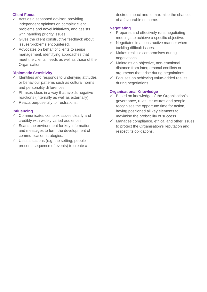- $\checkmark$  Acts as a seasoned adviser, providing independent opinions on complex client problems and novel initiatives, and assists with handling priority issues.
- $\checkmark$  Gives the client constructive feedback about issues/problems encountered.
- $\checkmark$  Advocates on behalf of clients to senior management, identifying approaches that meet the clients' needs as well as those of the Organisation.

## **Diplomatic Sensitivity**

- Identifies and responds to underlying attitudes or behaviour patterns such as cultural norms and personality differences.
- $\checkmark$  Phrases ideas in a way that avoids negative reactions (internally as well as externally).
- $\checkmark$  Reacts purposefully to frustrations.

## **Influencing**

- $\checkmark$  Communicates complex issues clearly and credibly with widely varied audiences.
- $\checkmark$  Scans the environment for key information and messages to form the development of communication strategies.
- $\checkmark$  Uses situations (e.g. the setting, people present, sequence of events) to create a

desired impact and to maximise the chances of a favourable outcome.

# **Negotiating**

- $\checkmark$  Prepares and effectively runs negotiating meetings to achieve a specific objective.
- Negotiates in a constructive manner when tackling difficult issues.
- $\checkmark$  Makes realistic compromises during negotiations.
- $\checkmark$  Maintains an objective, non-emotional distance from interpersonal conflicts or arguments that arise during negotiations.
- $\checkmark$  Focuses on achieving value-added results during negotiations.

#### **Organisational Knowledge**

- $\checkmark$  Based on knowledge of the Organisation's governance, rules, structures and people, recognises the opportune time for action, having positioned all key elements to maximise the probability of success.
- Manages compliance, ethical and other issues to protect the Organisation's reputation and respect its obligations.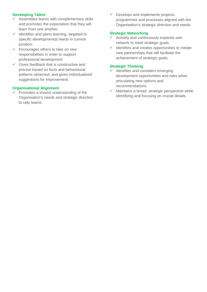# **Developing Talent**

- $\checkmark$  Assembles teams with complementary skills and promotes the expectation that they will learn from one another.
- $\checkmark$  Identifies and plans learning, targeted to specific developmental needs in current position.
- $\checkmark$  Encourages others to take on new responsibilities in order to support professional development.
- $\checkmark$  Gives feedback that is constructive and precise based on facts and behavioural patterns observed, and gives individualised suggestions for improvement.

#### **Organisational Alignment**

 Promotes a shared understanding of the Organisation's needs and strategic direction to rally teams.

 $\checkmark$  Develops and implements projects, programmes and processes aligned with the Organisation's strategic direction and needs.

#### **Strategic Networking**

- $\checkmark$  Actively and continuously expands own network to meet strategic goals.
- $\checkmark$  Identifies and creates opportunities to initiate new partnerships that will facilitate the achievement of strategic goals.

#### **Strategic Thinking**

- $\checkmark$  Identifies and considers emerging development opportunities and risks when articulating new options and recommendations.
- $\checkmark$  Maintains a broad, strategic perspective while identifying and focusing on crucial details.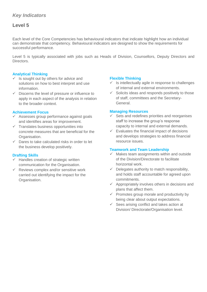# **Level 5**

Each level of the Core Competencies has behavioural indicators that indicate highlight how an individual can demonstrate that competency. Behavioural indicators are designed to show the requirements for successful performance.

Level 5 is typically associated with jobs such as Heads of Division, Counsellors, Deputy Directors and Directors.

#### **Analytical Thinking**

- $\checkmark$  Is sought out by others for advice and solutions on how to best interpret and use information.
- $\checkmark$  Discerns the level of pressure or influence to apply in each aspect of the analysis in relation to the broader context.

#### **Achievement Focus**

- Assesses group performance against goals and identifies areas for improvement.
- $\checkmark$  Translates business opportunities into concrete measures that are beneficial for the Organisation.
- $\checkmark$  Dares to take calculated risks in order to let the business develop positively.

#### **Drafting Skills**

- $\checkmark$  Handles creation of strategic written communication for the Organisation.
- $\checkmark$  Reviews complex and/or sensitive work carried out identifying the impact for the Organisation.

#### **Flexible Thinking**

- $\checkmark$  Is intellectually agile in response to challenges of internal and external environments.
- $\checkmark$  Solicits ideas and responds positively to those of staff, committees and the Secretary-General.

#### **Managing Resources**

- $\checkmark$  Sets and redefines priorities and reorganises staff to increase the group's response capacity to internal and external demands.
- $\checkmark$  Evaluates the financial impact of decisions and develops strategies to address financial resource issues.

- $\checkmark$  Makes team assignments within and outside of the Division/Directorate to facilitate horizontal work.
- $\checkmark$  Delegates authority to match responsibility, and holds staff accountable for agreed upon commitments.
- $\checkmark$  Appropriately involves others in decisions and plans that affect them.
- $\checkmark$  Promotes group morale and productivity by being clear about output expectations.
- $\checkmark$  Sees arising conflict and takes action at Division/ Directorate/Organisation level.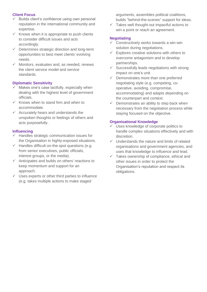- Builds client's confidence using own personal reputation in the international community and expertise.
- $\checkmark$  Knows when it is appropriate to push clients to consider difficult issues and acts accordingly.
- $\checkmark$  Determines strategic direction and long-term opportunities to best meet clients' evolving needs.
- $\checkmark$  Monitors, evaluates and, as needed, renews the client service model and service standards.

## **Diplomatic Sensitivity**

- $\checkmark$  Makes one's case tactfully, especially when dealing with the highest level of government officials.
- $\checkmark$  Knows when to stand firm and when to accommodate.
- $\checkmark$  Accurately hears and understands the unspoken thoughts or feelings of others and acts purposefully.

## **Influencing**

- $\checkmark$  Handles strategic communication issues for the Organisation in highly-exposed situations.
- $\checkmark$  Handles difficult on-the-spot questions (e.g. from senior executives, public officials, interest groups, or the media).
- $\checkmark$  Anticipates and builds on others' reactions to keep momentum and support for an approach.
- $\checkmark$  Uses experts or other third parties to influence (e.g. takes multiple actions to make staged

arguments, assembles political coalitions, builds "behind-the-scenes" support for ideas.

 $\checkmark$  Takes well thought-out impactful actions to win a point or reach an agreement.

# **Negotiating**

- $\checkmark$  Constructively works towards a win-win solution during negotiations.
- $\checkmark$  Explores creative solutions with others to overcome antagonism and to develop partnerships.
- $\checkmark$  Successfully leads negotiations with strong impact on one's unit.
- $\checkmark$  Demonstrates more than one preferred negotiating style (e.g. competing, cooperative, avoiding, compromise, accommodating) and adapts depending on the counterpart and context.
- $\checkmark$  Demonstrates an ability to step back when necessary from the negotiation process while staying focused on the objective.

## **Organisational Knowledge**

- $\checkmark$  Uses knowledge of corporate politics to handle complex situations effectively and with discretion.
- $\checkmark$  Understands the nature and limits of related organisations and government agencies, and uses that knowledge to influence and lead.
- $\checkmark$  Takes ownership of compliance, ethical and other issues in order to protect the Organisation's reputation and respect its obligations.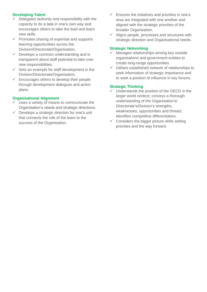## **Developing Talent**

- Delegates authority and responsibility with the capacity to do a task in one's own way and encourages others to take the lead and learn new skills.
- $\checkmark$  Promotes sharing of expertise and supports learning opportunities across the Division/Directorate/Organisation.
- $\checkmark$  Develops a common understanding and is transparent about staff potential to take over new responsibilities.
- $\checkmark$  Sets an example for staff development in the Division/Directorate/Organisation.
- $\checkmark$  Encourages others to develop their people through development dialogues and action plans.

#### **Organisational Alignment**

- $\checkmark$  Uses a variety of means to communicate the Organisation's needs and strategic directions.
- $\checkmark$  Develops a strategic direction for one's unit that connects the role of the team to the success of the Organisation.
- $\checkmark$  Ensures the initiatives and priorities in one's area are integrated with one another and aligned with the strategic priorities of the broader Organisation.
- $\checkmark$  Aligns people, processes and structures with strategic direction and Organisational needs.

#### **Strategic Networking**

- $\checkmark$  Manages relationships among key outside organisations and government entities to create long-range opportunities.
- $\checkmark$  Utilises established network of relationships to seek information of strategic importance and to seek a position of influence in key forums.

#### **Strategic Thinking**

- $\checkmark$  Understands the position of the OECD in the larger world context; conveys a thorough understanding of the Organisation's/ Directorate's/Division's strengths, weaknesses, opportunities and threats; identifies competitive differentiators.
- $\checkmark$  Considers the bigger picture while setting priorities and the way forward.